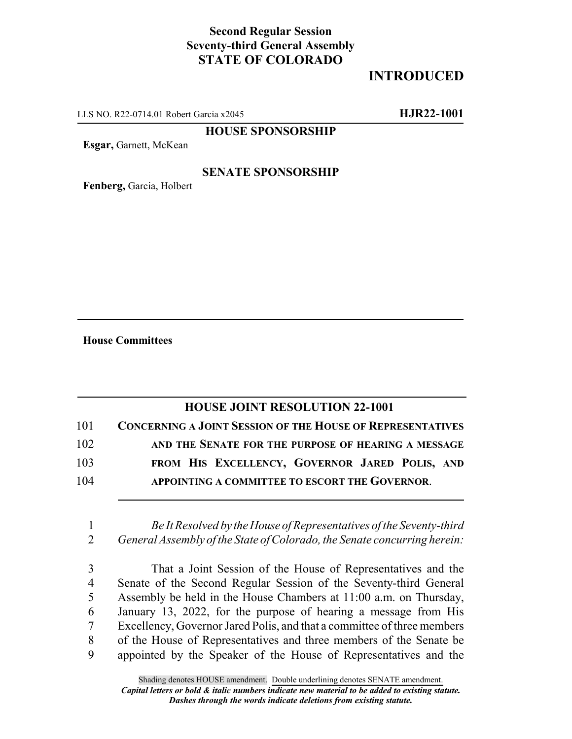# **Second Regular Session Seventy-third General Assembly STATE OF COLORADO**

# **INTRODUCED**

LLS NO. R22-0714.01 Robert Garcia x2045 **HJR22-1001**

### **HOUSE SPONSORSHIP**

**Esgar,** Garnett, McKean

## **SENATE SPONSORSHIP**

**Fenberg,** Garcia, Holbert

**House Committees**

## **HOUSE JOINT RESOLUTION 22-1001**

| 101 | <b>CONCERNING A JOINT SESSION OF THE HOUSE OF REPRESENTATIVES</b> |
|-----|-------------------------------------------------------------------|
| 102 | AND THE SENATE FOR THE PURPOSE OF HEARING A MESSAGE               |
| 103 | FROM HIS EXCELLENCY, GOVERNOR JARED POLIS, AND                    |
| 104 | APPOINTING A COMMITTEE TO ESCORT THE GOVERNOR.                    |

1 *Be It Resolved by the House of Representatives of the Seventy-third* 2 *General Assembly of the State of Colorado, the Senate concurring herein:*

 That a Joint Session of the House of Representatives and the Senate of the Second Regular Session of the Seventy-third General Assembly be held in the House Chambers at 11:00 a.m. on Thursday, January 13, 2022, for the purpose of hearing a message from His Excellency, Governor Jared Polis, and that a committee of three members of the House of Representatives and three members of the Senate be appointed by the Speaker of the House of Representatives and the